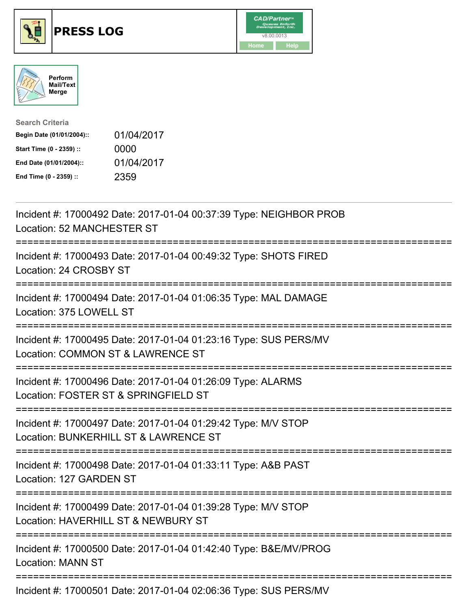





| <b>Search Criteria</b>    |            |
|---------------------------|------------|
| Begin Date (01/01/2004):: | 01/04/2017 |
| Start Time (0 - 2359) ::  | 0000       |
| End Date (01/01/2004)::   | 01/04/2017 |
| End Time (0 - 2359) ::    | 2359       |

| Incident #: 17000492 Date: 2017-01-04 00:37:39 Type: NEIGHBOR PROB<br>Location: 52 MANCHESTER ST                                     |
|--------------------------------------------------------------------------------------------------------------------------------------|
| Incident #: 17000493 Date: 2017-01-04 00:49:32 Type: SHOTS FIRED<br>Location: 24 CROSBY ST                                           |
| Incident #: 17000494 Date: 2017-01-04 01:06:35 Type: MAL DAMAGE<br>Location: 375 LOWELL ST                                           |
| Incident #: 17000495 Date: 2017-01-04 01:23:16 Type: SUS PERS/MV<br>Location: COMMON ST & LAWRENCE ST                                |
| Incident #: 17000496 Date: 2017-01-04 01:26:09 Type: ALARMS<br>Location: FOSTER ST & SPRINGFIELD ST                                  |
| Incident #: 17000497 Date: 2017-01-04 01:29:42 Type: M/V STOP<br>Location: BUNKERHILL ST & LAWRENCE ST<br>-------------------------- |
| Incident #: 17000498 Date: 2017-01-04 01:33:11 Type: A&B PAST<br>Location: 127 GARDEN ST<br>:===================================     |
| Incident #: 17000499 Date: 2017-01-04 01:39:28 Type: M/V STOP<br>Location: HAVERHILL ST & NEWBURY ST                                 |
| Incident #: 17000500 Date: 2017-01-04 01:42:40 Type: B&E/MV/PROG<br><b>Location: MANN ST</b>                                         |
| Incident #: 17000501 Date: 2017-01-04 02:06:36 Type: SUS PERS/MV                                                                     |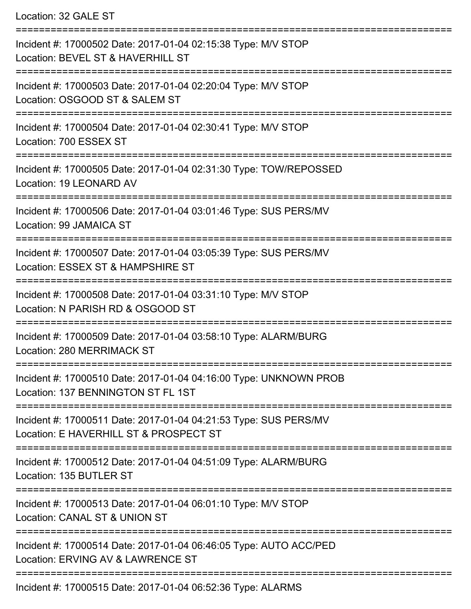Location: 32 GALE ST

| Incident #: 17000502 Date: 2017-01-04 02:15:38 Type: M/V STOP<br>Location: BEVEL ST & HAVERHILL ST         |
|------------------------------------------------------------------------------------------------------------|
| Incident #: 17000503 Date: 2017-01-04 02:20:04 Type: M/V STOP<br>Location: OSGOOD ST & SALEM ST            |
| Incident #: 17000504 Date: 2017-01-04 02:30:41 Type: M/V STOP<br>Location: 700 ESSEX ST                    |
| Incident #: 17000505 Date: 2017-01-04 02:31:30 Type: TOW/REPOSSED<br>Location: 19 LEONARD AV               |
| Incident #: 17000506 Date: 2017-01-04 03:01:46 Type: SUS PERS/MV<br>Location: 99 JAMAICA ST                |
| Incident #: 17000507 Date: 2017-01-04 03:05:39 Type: SUS PERS/MV<br>Location: ESSEX ST & HAMPSHIRE ST      |
| Incident #: 17000508 Date: 2017-01-04 03:31:10 Type: M/V STOP<br>Location: N PARISH RD & OSGOOD ST         |
| Incident #: 17000509 Date: 2017-01-04 03:58:10 Type: ALARM/BURG<br>Location: 280 MERRIMACK ST              |
| Incident #: 17000510 Date: 2017-01-04 04:16:00 Type: UNKNOWN PROB<br>Location: 137 BENNINGTON ST FL 1ST    |
| Incident #: 17000511 Date: 2017-01-04 04:21:53 Type: SUS PERS/MV<br>Location: E HAVERHILL ST & PROSPECT ST |
| Incident #: 17000512 Date: 2017-01-04 04:51:09 Type: ALARM/BURG<br>Location: 135 BUTLER ST                 |
| Incident #: 17000513 Date: 2017-01-04 06:01:10 Type: M/V STOP<br>Location: CANAL ST & UNION ST             |
| Incident #: 17000514 Date: 2017-01-04 06:46:05 Type: AUTO ACC/PED<br>Location: ERVING AV & LAWRENCE ST     |
| Incident #: 17000515 Date: 2017-01-04 06:52:36 Type: ALARMS                                                |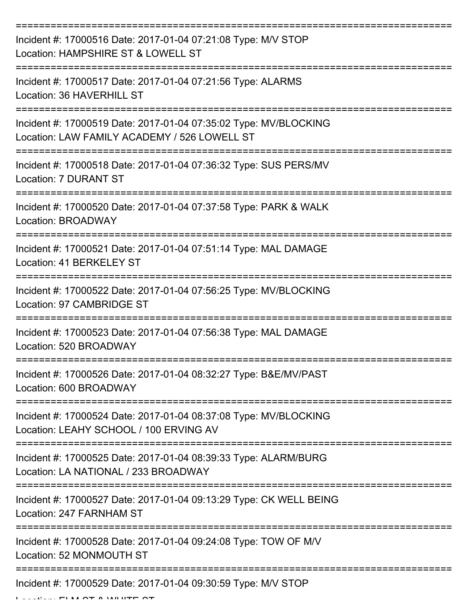| Incident #: 17000516 Date: 2017-01-04 07:21:08 Type: M/V STOP<br>Location: HAMPSHIRE ST & LOWELL ST              |
|------------------------------------------------------------------------------------------------------------------|
| Incident #: 17000517 Date: 2017-01-04 07:21:56 Type: ALARMS<br>Location: 36 HAVERHILL ST                         |
| Incident #: 17000519 Date: 2017-01-04 07:35:02 Type: MV/BLOCKING<br>Location: LAW FAMILY ACADEMY / 526 LOWELL ST |
| Incident #: 17000518 Date: 2017-01-04 07:36:32 Type: SUS PERS/MV<br><b>Location: 7 DURANT ST</b>                 |
| Incident #: 17000520 Date: 2017-01-04 07:37:58 Type: PARK & WALK<br>Location: BROADWAY                           |
| Incident #: 17000521 Date: 2017-01-04 07:51:14 Type: MAL DAMAGE<br>Location: 41 BERKELEY ST                      |
| Incident #: 17000522 Date: 2017-01-04 07:56:25 Type: MV/BLOCKING<br>Location: 97 CAMBRIDGE ST                    |
| Incident #: 17000523 Date: 2017-01-04 07:56:38 Type: MAL DAMAGE<br>Location: 520 BROADWAY                        |
| Incident #: 17000526 Date: 2017-01-04 08:32:27 Type: B&E/MV/PAST<br>Location: 600 BROADWAY                       |
| Incident #: 17000524 Date: 2017-01-04 08:37:08 Type: MV/BLOCKING<br>Location: LEAHY SCHOOL / 100 ERVING AV       |
| Incident #: 17000525 Date: 2017-01-04 08:39:33 Type: ALARM/BURG<br>Location: LA NATIONAL / 233 BROADWAY          |
| Incident #: 17000527 Date: 2017-01-04 09:13:29 Type: CK WELL BEING<br>Location: 247 FARNHAM ST                   |
| Incident #: 17000528 Date: 2017-01-04 09:24:08 Type: TOW OF M/V<br>Location: 52 MONMOUTH ST                      |
| Incident #: 17000529 Date: 2017-01-04 09:30:59 Type: M/V STOP                                                    |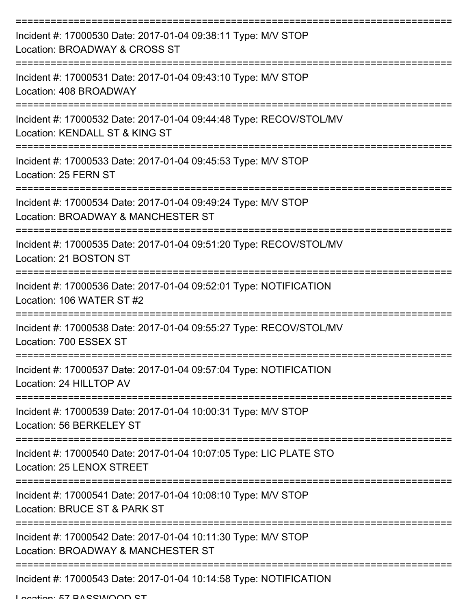| Incident #: 17000530 Date: 2017-01-04 09:38:11 Type: M/V STOP<br>Location: BROADWAY & CROSS ST       |
|------------------------------------------------------------------------------------------------------|
| Incident #: 17000531 Date: 2017-01-04 09:43:10 Type: M/V STOP<br>Location: 408 BROADWAY              |
| Incident #: 17000532 Date: 2017-01-04 09:44:48 Type: RECOV/STOL/MV<br>Location: KENDALL ST & KING ST |
| Incident #: 17000533 Date: 2017-01-04 09:45:53 Type: M/V STOP<br>Location: 25 FERN ST                |
| Incident #: 17000534 Date: 2017-01-04 09:49:24 Type: M/V STOP<br>Location: BROADWAY & MANCHESTER ST  |
| Incident #: 17000535 Date: 2017-01-04 09:51:20 Type: RECOV/STOL/MV<br>Location: 21 BOSTON ST         |
| Incident #: 17000536 Date: 2017-01-04 09:52:01 Type: NOTIFICATION<br>Location: 106 WATER ST #2       |
| Incident #: 17000538 Date: 2017-01-04 09:55:27 Type: RECOV/STOL/MV<br>Location: 700 ESSEX ST         |
| Incident #: 17000537 Date: 2017-01-04 09:57:04 Type: NOTIFICATION<br>Location: 24 HILLTOP AV         |
| Incident #: 17000539 Date: 2017-01-04 10:00:31 Type: M/V STOP<br>Location: 56 BERKELEY ST            |
| Incident #: 17000540 Date: 2017-01-04 10:07:05 Type: LIC PLATE STO<br>Location: 25 LENOX STREET      |
| Incident #: 17000541 Date: 2017-01-04 10:08:10 Type: M/V STOP<br>Location: BRUCE ST & PARK ST        |
| Incident #: 17000542 Date: 2017-01-04 10:11:30 Type: M/V STOP<br>Location: BROADWAY & MANCHESTER ST  |
| Incident #: 17000543 Date: 2017-01-04 10:14:58 Type: NOTIFICATION                                    |

Location: 57 BASSWOOD ST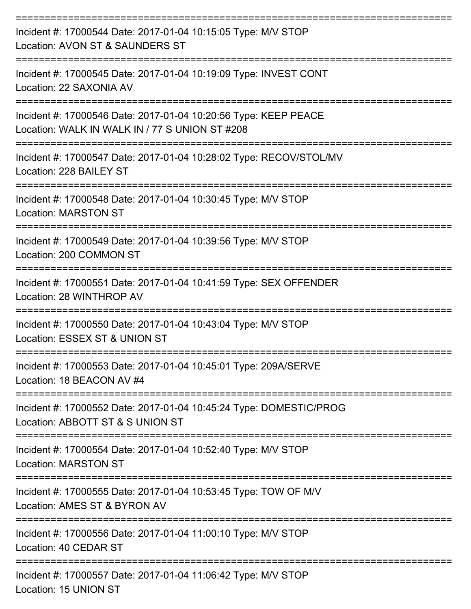| Incident #: 17000544 Date: 2017-01-04 10:15:05 Type: M/V STOP<br>Location: AVON ST & SAUNDERS ST                                           |
|--------------------------------------------------------------------------------------------------------------------------------------------|
| :=====================<br>Incident #: 17000545 Date: 2017-01-04 10:19:09 Type: INVEST CONT<br>Location: 22 SAXONIA AV<br>----------------- |
| Incident #: 17000546 Date: 2017-01-04 10:20:56 Type: KEEP PEACE<br>Location: WALK IN WALK IN / 77 S UNION ST #208                          |
| Incident #: 17000547 Date: 2017-01-04 10:28:02 Type: RECOV/STOL/MV<br>Location: 228 BAILEY ST<br>------------------                        |
| Incident #: 17000548 Date: 2017-01-04 10:30:45 Type: M/V STOP<br><b>Location: MARSTON ST</b>                                               |
| Incident #: 17000549 Date: 2017-01-04 10:39:56 Type: M/V STOP<br>Location: 200 COMMON ST                                                   |
| Incident #: 17000551 Date: 2017-01-04 10:41:59 Type: SEX OFFENDER<br>Location: 28 WINTHROP AV                                              |
| Incident #: 17000550 Date: 2017-01-04 10:43:04 Type: M/V STOP<br>Location: ESSEX ST & UNION ST                                             |
| Incident #: 17000553 Date: 2017-01-04 10:45:01 Type: 209A/SERVE<br>Location: 18 BEACON AV #4                                               |
| Incident #: 17000552 Date: 2017-01-04 10:45:24 Type: DOMESTIC/PROG<br>Location: ABBOTT ST & S UNION ST                                     |
| Incident #: 17000554 Date: 2017-01-04 10:52:40 Type: M/V STOP<br><b>Location: MARSTON ST</b>                                               |
| Incident #: 17000555 Date: 2017-01-04 10:53:45 Type: TOW OF M/V<br>Location: AMES ST & BYRON AV                                            |
| Incident #: 17000556 Date: 2017-01-04 11:00:10 Type: M/V STOP<br>Location: 40 CEDAR ST                                                     |
| Incident #: 17000557 Date: 2017-01-04 11:06:42 Type: M/V STOP<br>Location: 15 UNION ST                                                     |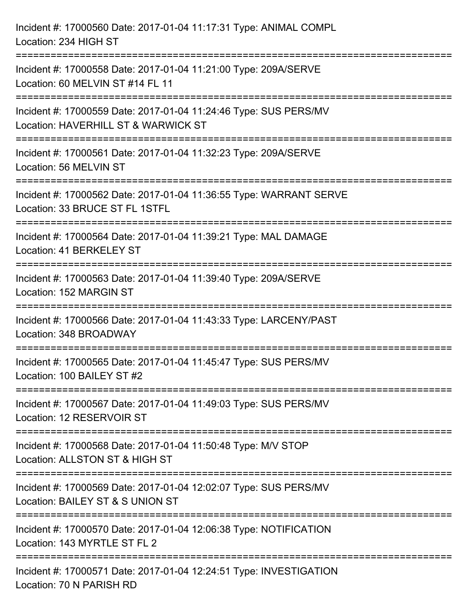| Incident #: 17000560 Date: 2017-01-04 11:17:31 Type: ANIMAL COMPL<br>Location: 234 HIGH ST                                                  |
|---------------------------------------------------------------------------------------------------------------------------------------------|
| =================================<br>Incident #: 17000558 Date: 2017-01-04 11:21:00 Type: 209A/SERVE<br>Location: 60 MELVIN ST #14 FL 11    |
| Incident #: 17000559 Date: 2017-01-04 11:24:46 Type: SUS PERS/MV<br>Location: HAVERHILL ST & WARWICK ST<br>================================ |
| Incident #: 17000561 Date: 2017-01-04 11:32:23 Type: 209A/SERVE<br>Location: 56 MELVIN ST                                                   |
| Incident #: 17000562 Date: 2017-01-04 11:36:55 Type: WARRANT SERVE<br>Location: 33 BRUCE ST FL 1STFL                                        |
| Incident #: 17000564 Date: 2017-01-04 11:39:21 Type: MAL DAMAGE<br>Location: 41 BERKELEY ST                                                 |
| Incident #: 17000563 Date: 2017-01-04 11:39:40 Type: 209A/SERVE<br>Location: 152 MARGIN ST                                                  |
| Incident #: 17000566 Date: 2017-01-04 11:43:33 Type: LARCENY/PAST<br>Location: 348 BROADWAY                                                 |
| Incident #: 17000565 Date: 2017-01-04 11:45:47 Type: SUS PERS/MV<br>Location: 100 BAILEY ST #2                                              |
| Incident #: 17000567 Date: 2017-01-04 11:49:03 Type: SUS PERS/MV<br>Location: 12 RESERVOIR ST                                               |
| Incident #: 17000568 Date: 2017-01-04 11:50:48 Type: M/V STOP<br>Location: ALLSTON ST & HIGH ST                                             |
| Incident #: 17000569 Date: 2017-01-04 12:02:07 Type: SUS PERS/MV<br>Location: BAILEY ST & S UNION ST                                        |
| Incident #: 17000570 Date: 2017-01-04 12:06:38 Type: NOTIFICATION<br>Location: 143 MYRTLE ST FL 2                                           |
| Incident #: 17000571 Date: 2017-01-04 12:24:51 Type: INVESTIGATION<br>Location: 70 N PARISH RD                                              |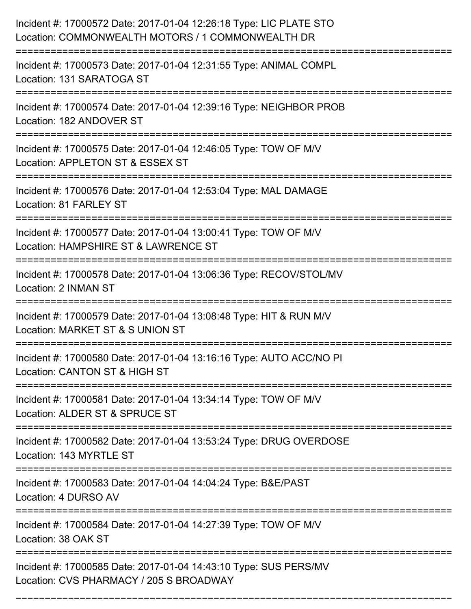| Incident #: 17000572 Date: 2017-01-04 12:26:18 Type: LIC PLATE STO<br>Location: COMMONWEALTH MOTORS / 1 COMMONWEALTH DR<br>==================================== |
|-----------------------------------------------------------------------------------------------------------------------------------------------------------------|
| Incident #: 17000573 Date: 2017-01-04 12:31:55 Type: ANIMAL COMPL<br>Location: 131 SARATOGA ST                                                                  |
| Incident #: 17000574 Date: 2017-01-04 12:39:16 Type: NEIGHBOR PROB<br>Location: 182 ANDOVER ST<br>=================================                             |
| Incident #: 17000575 Date: 2017-01-04 12:46:05 Type: TOW OF M/V<br>Location: APPLETON ST & ESSEX ST<br>:=========================<br>-----------                |
| Incident #: 17000576 Date: 2017-01-04 12:53:04 Type: MAL DAMAGE<br>Location: 81 FARLEY ST                                                                       |
| Incident #: 17000577 Date: 2017-01-04 13:00:41 Type: TOW OF M/V<br>Location: HAMPSHIRE ST & LAWRENCE ST                                                         |
| Incident #: 17000578 Date: 2017-01-04 13:06:36 Type: RECOV/STOL/MV<br>Location: 2 INMAN ST                                                                      |
| Incident #: 17000579 Date: 2017-01-04 13:08:48 Type: HIT & RUN M/V<br>Location: MARKET ST & S UNION ST                                                          |
| Incident #: 17000580 Date: 2017-01-04 13:16:16 Type: AUTO ACC/NO PI<br>Location: CANTON ST & HIGH ST                                                            |
| Incident #: 17000581 Date: 2017-01-04 13:34:14 Type: TOW OF M/V<br>Location: ALDER ST & SPRUCE ST                                                               |
| Incident #: 17000582 Date: 2017-01-04 13:53:24 Type: DRUG OVERDOSE<br>Location: 143 MYRTLE ST                                                                   |
| Incident #: 17000583 Date: 2017-01-04 14:04:24 Type: B&E/PAST<br>Location: 4 DURSO AV                                                                           |
| Incident #: 17000584 Date: 2017-01-04 14:27:39 Type: TOW OF M/V<br>Location: 38 OAK ST                                                                          |
| Incident #: 17000585 Date: 2017-01-04 14:43:10 Type: SUS PERS/MV<br>Location: CVS PHARMACY / 205 S BROADWAY                                                     |

===========================================================================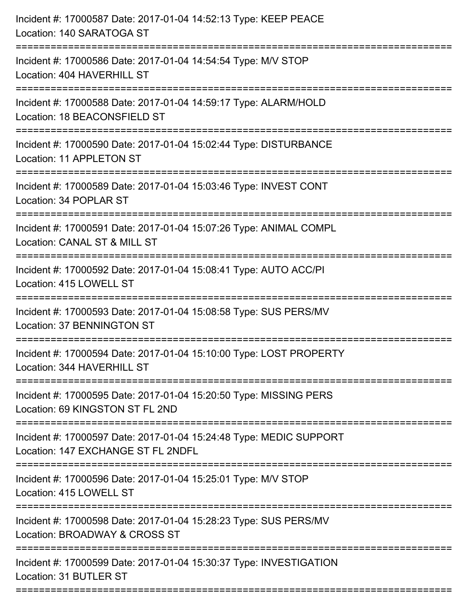| Incident #: 17000587 Date: 2017-01-04 14:52:13 Type: KEEP PEACE<br>Location: 140 SARATOGA ST                                        |
|-------------------------------------------------------------------------------------------------------------------------------------|
| ====================================<br>Incident #: 17000586 Date: 2017-01-04 14:54:54 Type: M/V STOP<br>Location: 404 HAVERHILL ST |
| ==================<br>Incident #: 17000588 Date: 2017-01-04 14:59:17 Type: ALARM/HOLD<br>Location: 18 BEACONSFIELD ST               |
| Incident #: 17000590 Date: 2017-01-04 15:02:44 Type: DISTURBANCE<br>Location: 11 APPLETON ST                                        |
| Incident #: 17000589 Date: 2017-01-04 15:03:46 Type: INVEST CONT<br>Location: 34 POPLAR ST                                          |
| Incident #: 17000591 Date: 2017-01-04 15:07:26 Type: ANIMAL COMPL<br>Location: CANAL ST & MILL ST                                   |
| :===================<br>Incident #: 17000592 Date: 2017-01-04 15:08:41 Type: AUTO ACC/PI<br>Location: 415 LOWELL ST                 |
| Incident #: 17000593 Date: 2017-01-04 15:08:58 Type: SUS PERS/MV<br>Location: 37 BENNINGTON ST                                      |
| Incident #: 17000594 Date: 2017-01-04 15:10:00 Type: LOST PROPERTY<br>Location: 344 HAVERHILL ST                                    |
| Incident #: 17000595 Date: 2017-01-04 15:20:50 Type: MISSING PERS<br>Location: 69 KINGSTON ST FL 2ND                                |
| Incident #: 17000597 Date: 2017-01-04 15:24:48 Type: MEDIC SUPPORT<br>Location: 147 EXCHANGE ST FL 2NDFL                            |
| Incident #: 17000596 Date: 2017-01-04 15:25:01 Type: M/V STOP<br>Location: 415 LOWELL ST                                            |
| Incident #: 17000598 Date: 2017-01-04 15:28:23 Type: SUS PERS/MV<br>Location: BROADWAY & CROSS ST                                   |
| Incident #: 17000599 Date: 2017-01-04 15:30:37 Type: INVESTIGATION<br>Location: 31 BUTLER ST                                        |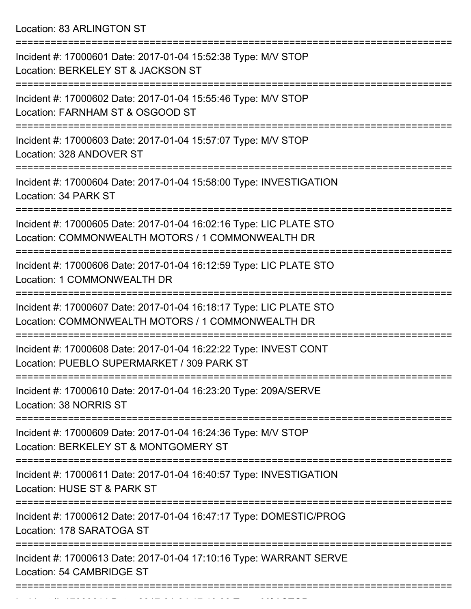Location: 83 ARLINGTON ST

| Incident #: 17000601 Date: 2017-01-04 15:52:38 Type: M/V STOP<br>Location: BERKELEY ST & JACKSON ST                                                    |
|--------------------------------------------------------------------------------------------------------------------------------------------------------|
| Incident #: 17000602 Date: 2017-01-04 15:55:46 Type: M/V STOP<br>Location: FARNHAM ST & OSGOOD ST                                                      |
| Incident #: 17000603 Date: 2017-01-04 15:57:07 Type: M/V STOP<br>Location: 328 ANDOVER ST                                                              |
| Incident #: 17000604 Date: 2017-01-04 15:58:00 Type: INVESTIGATION<br>Location: 34 PARK ST                                                             |
| Incident #: 17000605 Date: 2017-01-04 16:02:16 Type: LIC PLATE STO<br>Location: COMMONWEALTH MOTORS / 1 COMMONWEALTH DR                                |
| Incident #: 17000606 Date: 2017-01-04 16:12:59 Type: LIC PLATE STO<br>Location: 1 COMMONWEALTH DR                                                      |
| Incident #: 17000607 Date: 2017-01-04 16:18:17 Type: LIC PLATE STO<br>Location: COMMONWEALTH MOTORS / 1 COMMONWEALTH DR                                |
| Incident #: 17000608 Date: 2017-01-04 16:22:22 Type: INVEST CONT<br>Location: PUEBLO SUPERMARKET / 309 PARK ST                                         |
| Incident #: 17000610 Date: 2017-01-04 16:23:20 Type: 209A/SERVE<br>Location: 38 NORRIS ST                                                              |
| ======================<br>==================<br>Incident #: 17000609 Date: 2017-01-04 16:24:36 Type: M/V STOP<br>Location: BERKELEY ST & MONTGOMERY ST |
| Incident #: 17000611 Date: 2017-01-04 16:40:57 Type: INVESTIGATION<br>Location: HUSE ST & PARK ST                                                      |
| Incident #: 17000612 Date: 2017-01-04 16:47:17 Type: DOMESTIC/PROG<br>Location: 178 SARATOGA ST                                                        |
| Incident #: 17000613 Date: 2017-01-04 17:10:16 Type: WARRANT SERVE<br>Location: 54 CAMBRIDGE ST                                                        |
|                                                                                                                                                        |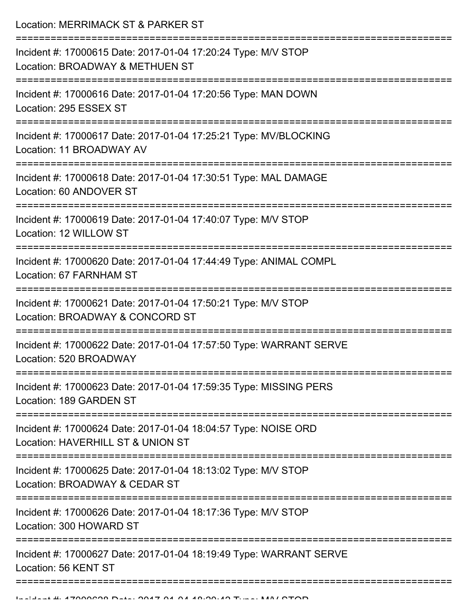Location: MERRIMACK ST & PARKER ST

| Incident #: 17000615 Date: 2017-01-04 17:20:24 Type: M/V STOP<br>Location: BROADWAY & METHUEN ST                                |
|---------------------------------------------------------------------------------------------------------------------------------|
| Incident #: 17000616 Date: 2017-01-04 17:20:56 Type: MAN DOWN<br>Location: 295 ESSEX ST                                         |
| Incident #: 17000617 Date: 2017-01-04 17:25:21 Type: MV/BLOCKING<br>Location: 11 BROADWAY AV                                    |
| Incident #: 17000618 Date: 2017-01-04 17:30:51 Type: MAL DAMAGE<br>Location: 60 ANDOVER ST                                      |
| Incident #: 17000619 Date: 2017-01-04 17:40:07 Type: M/V STOP<br>Location: 12 WILLOW ST                                         |
| Incident #: 17000620 Date: 2017-01-04 17:44:49 Type: ANIMAL COMPL<br>Location: 67 FARNHAM ST                                    |
| Incident #: 17000621 Date: 2017-01-04 17:50:21 Type: M/V STOP<br>Location: BROADWAY & CONCORD ST                                |
| Incident #: 17000622 Date: 2017-01-04 17:57:50 Type: WARRANT SERVE<br>Location: 520 BROADWAY                                    |
| Incident #: 17000623 Date: 2017-01-04 17:59:35 Type: MISSING PERS<br>Location: 189 GARDEN ST                                    |
| Incident #: 17000624 Date: 2017-01-04 18:04:57 Type: NOISE ORD<br>Location: HAVERHILL ST & UNION ST                             |
| Incident #: 17000625 Date: 2017-01-04 18:13:02 Type: M/V STOP<br>Location: BROADWAY & CEDAR ST                                  |
| -----------------------------------<br>Incident #: 17000626 Date: 2017-01-04 18:17:36 Type: M/V STOP<br>Location: 300 HOWARD ST |
| Incident #: 17000627 Date: 2017-01-04 18:19:49 Type: WARRANT SERVE<br>Location: 56 KENT ST                                      |
|                                                                                                                                 |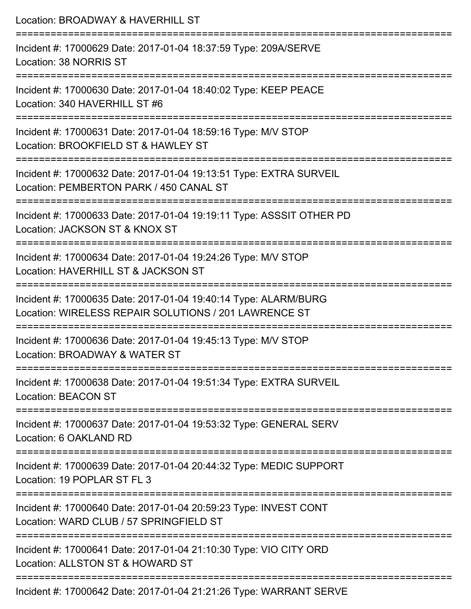| Location: BROADWAY & HAVERHILL ST                                                                                                       |
|-----------------------------------------------------------------------------------------------------------------------------------------|
| Incident #: 17000629 Date: 2017-01-04 18:37:59 Type: 209A/SERVE<br>Location: 38 NORRIS ST                                               |
| Incident #: 17000630 Date: 2017-01-04 18:40:02 Type: KEEP PEACE<br>Location: 340 HAVERHILL ST #6                                        |
| Incident #: 17000631 Date: 2017-01-04 18:59:16 Type: M/V STOP<br>Location: BROOKFIELD ST & HAWLEY ST<br>:============================== |
| Incident #: 17000632 Date: 2017-01-04 19:13:51 Type: EXTRA SURVEIL<br>Location: PEMBERTON PARK / 450 CANAL ST                           |
| Incident #: 17000633 Date: 2017-01-04 19:19:11 Type: ASSSIT OTHER PD<br>Location: JACKSON ST & KNOX ST                                  |
| ==============================<br>Incident #: 17000634 Date: 2017-01-04 19:24:26 Type: M/V STOP<br>Location: HAVERHILL ST & JACKSON ST  |
| Incident #: 17000635 Date: 2017-01-04 19:40:14 Type: ALARM/BURG<br>Location: WIRELESS REPAIR SOLUTIONS / 201 LAWRENCE ST                |
| --------------------------<br>Incident #: 17000636 Date: 2017-01-04 19:45:13 Type: M/V STOP<br>Location: BROADWAY & WATER ST            |
| Incident #: 17000638 Date: 2017-01-04 19:51:34 Type: EXTRA SURVEIL<br><b>Location: BEACON ST</b>                                        |
| Incident #: 17000637 Date: 2017-01-04 19:53:32 Type: GENERAL SERV<br>Location: 6 OAKLAND RD                                             |
| Incident #: 17000639 Date: 2017-01-04 20:44:32 Type: MEDIC SUPPORT<br>Location: 19 POPLAR ST FL 3                                       |
| Incident #: 17000640 Date: 2017-01-04 20:59:23 Type: INVEST CONT<br>Location: WARD CLUB / 57 SPRINGFIELD ST                             |
| Incident #: 17000641 Date: 2017-01-04 21:10:30 Type: VIO CITY ORD<br>Location: ALLSTON ST & HOWARD ST                                   |
|                                                                                                                                         |

Incident #: 17000642 Date: 2017-01-04 21:21:26 Type: WARRANT SERVE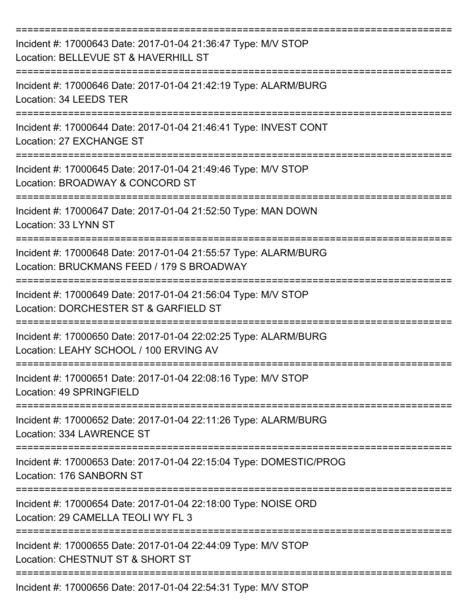| Incident #: 17000643 Date: 2017-01-04 21:36:47 Type: M/V STOP<br>Location: BELLEVUE ST & HAVERHILL ST        |
|--------------------------------------------------------------------------------------------------------------|
| Incident #: 17000646 Date: 2017-01-04 21:42:19 Type: ALARM/BURG<br>Location: 34 LEEDS TER                    |
| Incident #: 17000644 Date: 2017-01-04 21:46:41 Type: INVEST CONT<br>Location: 27 EXCHANGE ST                 |
| Incident #: 17000645 Date: 2017-01-04 21:49:46 Type: M/V STOP<br>Location: BROADWAY & CONCORD ST             |
| Incident #: 17000647 Date: 2017-01-04 21:52:50 Type: MAN DOWN<br>Location: 33 LYNN ST                        |
| Incident #: 17000648 Date: 2017-01-04 21:55:57 Type: ALARM/BURG<br>Location: BRUCKMANS FEED / 179 S BROADWAY |
| Incident #: 17000649 Date: 2017-01-04 21:56:04 Type: M/V STOP<br>Location: DORCHESTER ST & GARFIELD ST       |
| Incident #: 17000650 Date: 2017-01-04 22:02:25 Type: ALARM/BURG<br>Location: LEAHY SCHOOL / 100 ERVING AV    |
| Incident #: 17000651 Date: 2017-01-04 22:08:16 Type: M/V STOP<br>Location: 49 SPRINGFIELD                    |
| Incident #: 17000652 Date: 2017-01-04 22:11:26 Type: ALARM/BURG<br>Location: 334 LAWRENCE ST                 |
| Incident #: 17000653 Date: 2017-01-04 22:15:04 Type: DOMESTIC/PROG<br>Location: 176 SANBORN ST               |
| Incident #: 17000654 Date: 2017-01-04 22:18:00 Type: NOISE ORD<br>Location: 29 CAMELLA TEOLI WY FL 3         |
| Incident #: 17000655 Date: 2017-01-04 22:44:09 Type: M/V STOP<br>Location: CHESTNUT ST & SHORT ST            |
| Incident #: 17000656 Date: 2017-01-04 22:54:31 Type: M/V STOP                                                |